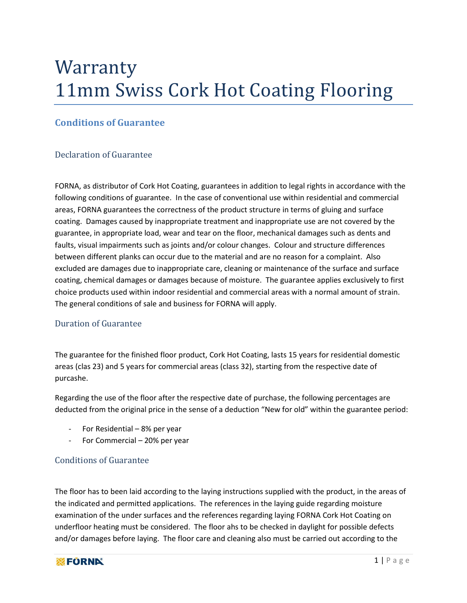# Warranty 11mm Swiss Cork Hot Coating Flooring

## **Conditions of Guarantee**

### Declaration of Guarantee

FORNA, as distributor of Cork Hot Coating, guarantees in addition to legal rights in accordance with the following conditions of guarantee. In the case of conventional use within residential and commercial areas, FORNA guarantees the correctness of the product structure in terms of gluing and surface coating. Damages caused by inappropriate treatment and inappropriate use are not covered by the guarantee, in appropriate load, wear and tear on the floor, mechanical damages such as dents and faults, visual impairments such as joints and/or colour changes. Colour and structure differences between different planks can occur due to the material and are no reason for a complaint. Also excluded are damages due to inappropriate care, cleaning or maintenance of the surface and surface coating, chemical damages or damages because of moisture. The guarantee applies exclusively to first choice products used within indoor residential and commercial areas with a normal amount of strain. The general conditions of sale and business for FORNA will apply.

#### Duration of Guarantee

The guarantee for the finished floor product, Cork Hot Coating, lasts 15 years for residential domestic areas (clas 23) and 5 years for commercial areas (class 32), starting from the respective date of purcashe.

Regarding the use of the floor after the respective date of purchase, the following percentages are deducted from the original price in the sense of a deduction "New for old" within the guarantee period:

- For Residential 8% per year
- For Commercial 20% per year

#### Conditions of Guarantee

The floor has to been laid according to the laying instructions supplied with the product, in the areas of the indicated and permitted applications. The references in the laying guide regarding moisture examination of the under surfaces and the references regarding laying FORNA Cork Hot Coating on underfloor heating must be considered. The floor ahs to be checked in daylight for possible defects and/or damages before laying. The floor care and cleaning also must be carried out according to the